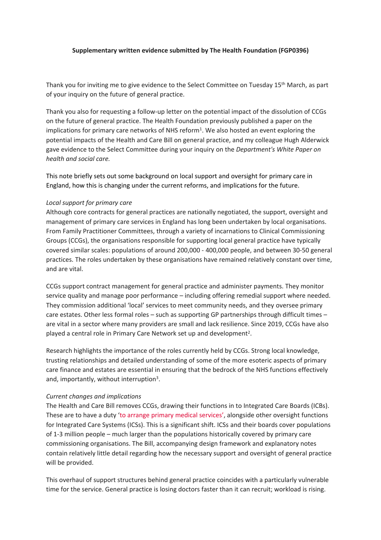# **Supplementary written evidence submitted by The Health Foundation (FGP0396)**

Thank you for inviting me to give evidence to the Select Committee on Tuesday 15th March, as part of your inquiry on the future of general practice.

Thank you also for requesting a follow-up letter on the potential impact of the dissolution of CCGs on the future of general practice. The Health Foundation previously published a paper on the implications for primary care networks of NHS reform<sup>1</sup>. We also hosted an event exploring the potential impacts of the Health and Care Bill on general practice, and my colleague Hugh Alderwick gave evidence to the Select Committee during your inquiry on the *Department's White Paper on health and social care.*

This note briefly sets out some background on local support and oversight for primary care in England, how this is changing under the current reforms, and implications for the future.

### *Local support for primary care*

Although core contracts for general practices are nationally negotiated, the support, oversight and management of primary care services in England has long been undertaken by local organisations. From Family Practitioner Committees, through a variety of incarnations to Clinical Commissioning Groups (CCGs), the organisations responsible for supporting local general practice have typically covered similar scales: populations of around 200,000 - 400,000 people, and between 30-50 general practices. The roles undertaken by these organisations have remained relatively constant over time, and are vital.

CCGs support contract management for general practice and administer payments. They monitor service quality and manage poor performance – including offering remedial support where needed. They commission additional 'local' services to meet community needs, and they oversee primary care estates. Other less formal roles – such as supporting GP partnerships through difficult times – are vital in a sector where many providers are small and lack resilience. Since 2019, CCGs have also played a central role in Primary Care Network set up and development<sup>2</sup>.

Research highlights the importance of the roles currently held by CCGs. Strong local knowledge, trusting relationships and detailed understanding of some of the more esoteric aspects of primary care finance and estates are essential in ensuring that the bedrock of the NHS functions effectively and, importantly, without interruption<sup>3</sup>.

#### *Current changes and implications*

The Health and Care Bill removes CCGs, drawing their functions in to Integrated Care Boards (ICBs). These are to have a duty '[to](https://bills.parliament.uk/publications/45209/documents/1397) [arrange](https://bills.parliament.uk/publications/45209/documents/1397) [primary](https://bills.parliament.uk/publications/45209/documents/1397) [medical](https://bills.parliament.uk/publications/45209/documents/1397) [services'](https://bills.parliament.uk/publications/45209/documents/1397), alongside other oversight functions for Integrated Care Systems (ICSs). This is a significant shift. ICSs and their boards cover populations of 1-3 million people – much larger than the populations historically covered by primary care commissioning organisations. The Bill, accompanying design framework and explanatory notes contain relatively little detail regarding how the necessary support and oversight of general practice will be provided.

This overhaul of support structures behind general practice coincides with a particularly vulnerable time for the service. General practice is losing doctors faster than it can recruit; workload is rising.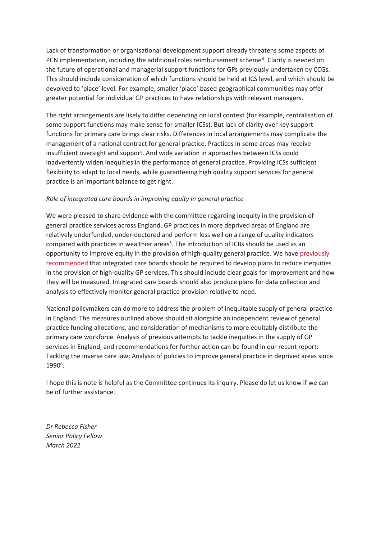Lack of transformation or organisational development support already threatens some aspects of PCN implementation, including the additional roles reimbursement scheme<sup>4</sup>. Clarity is needed on the future of operational and managerial support functions for GPs previously undertaken by CCGs. This should include consideration of which functions should be held at ICS level, and which should be devolved to 'place' level. For example, smaller 'place' based geographical communities may offer greater potential for individual GP practices to have relationships with relevant managers.

The right arrangements are likely to differ depending on local context (for example, centralisation of some support functions may make sense for smaller ICSs). But lack of clarity over key support functions for primary care brings clear risks. Differences in local arrangements may complicate the management of a national contract for general practice. Practices in some areas may receive insufficient oversight and support. And wide variation in approaches between ICSs could inadvertently widen inequities in the performance of general practice. Providing ICSs sufficient flexibility to adapt to local needs, while guaranteeing high quality support services for general practice is an important balance to get right.

# *Role of integrated care boards in improving equity in general practice*

We were pleased to share evidence with the committee regarding inequity in the provision of general practice services across England. GP practices in more deprived areas of England are relatively underfunded, under-doctored and perform less well on a range of quality indicators compared with practices in wealthier areas<sup>5</sup>. The introduction of ICBs should be used as an opportunity to improve equity in the provision of high-quality general practice. We have [previously](https://www.health.org.uk/publications/reports/tackling-the-inverse-care-law) [recommended](https://www.health.org.uk/publications/reports/tackling-the-inverse-care-law) that integrated care boards should be required to develop plans to reduce inequities in the provision of high-quality GP services. This should include clear goals for improvement and how they will be measured. Integrated care boards should also produce plans for data collection and analysis to effectively monitor general practice provision relative to need.

National policymakers can do more to address the problem of inequitable supply of general practice in England. The measures outlined above should sit alongside an independent review of general practice funding allocations, and consideration of mechanisms to more equitably distribute the primary care workforce. Analysis of previous attempts to tackle inequities in the supply of GP services in England, and recommendations for further action can be found in our recent report: Tackling the inverse care law: Analysis of policies to improve general practice in deprived areas since 1990<sup>6</sup>.

I hope this is note is helpful as the Committee continues its inquiry. Please do let us know if we can be of further assistance.

*Dr Rebecca Fisher Senior Policy Fellow March 2022*